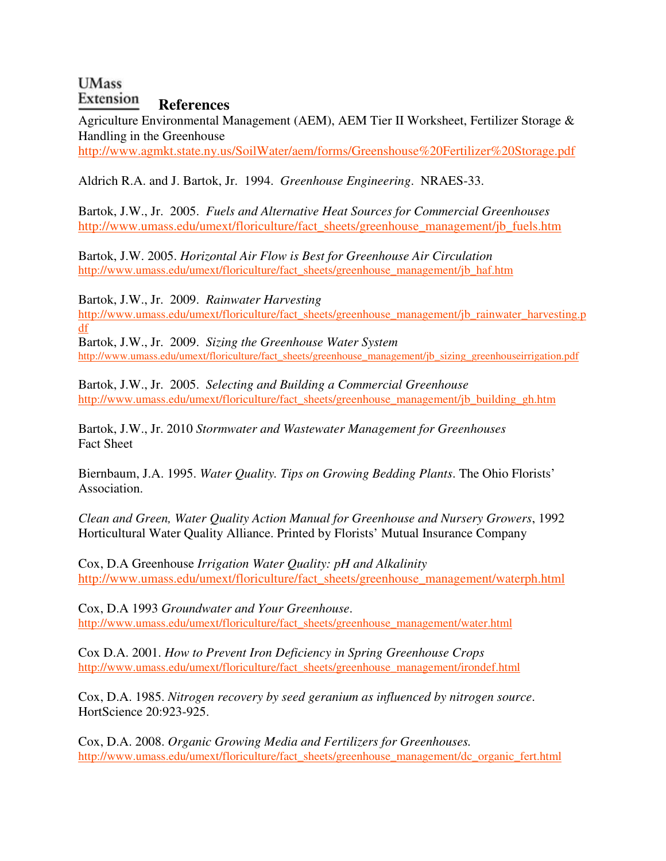## **UMass References**

Agriculture Environmental Management (AEM), AEM Tier II Worksheet, Fertilizer Storage & Handling in the Greenhouse http://www.agmkt.state.ny.us/SoilWater/aem/forms/Greenshouse%20Fertilizer%20Storage.pdf

Aldrich R.A. and J. Bartok, Jr. 1994. *Greenhouse Engineering*. NRAES-33.

Bartok, J.W., Jr. 2005. *Fuels and Alternative Heat Sources for Commercial Greenhouses*  http://www.umass.edu/umext/floriculture/fact\_sheets/greenhouse\_management/jb\_fuels.htm

Bartok, J.W. 2005. *Horizontal Air Flow is Best for Greenhouse Air Circulation* http://www.umass.edu/umext/floriculture/fact\_sheets/greenhouse\_management/jb\_haf.htm

Bartok, J.W., Jr. 2009. *Rainwater Harvesting*

http://www.umass.edu/umext/floriculture/fact\_sheets/greenhouse\_management/jb\_rainwater\_harvesting.p df Bartok, J.W., Jr. 2009. *Sizing the Greenhouse Water System*

http://www.umass.edu/umext/floriculture/fact\_sheets/greenhouse\_management/jb\_sizing\_greenhouseirrigation.pdf

Bartok, J.W., Jr. 2005. *Selecting and Building a Commercial Greenhouse*  http://www.umass.edu/umext/floriculture/fact\_sheets/greenhouse\_management/jb\_building\_gh.htm

Bartok, J.W., Jr. 2010 *Stormwater and Wastewater Management for Greenhouses* Fact Sheet

Biernbaum, J.A. 1995. *Water Quality. Tips on Growing Bedding Plants*. The Ohio Florists' Association.

*Clean and Green, Water Quality Action Manual for Greenhouse and Nursery Growers*, 1992 Horticultural Water Quality Alliance. Printed by Florists' Mutual Insurance Company

Cox, D.A Greenhouse *Irrigation Water Quality: pH and Alkalinity* http://www.umass.edu/umext/floriculture/fact\_sheets/greenhouse\_management/waterph.html

Cox, D.A 1993 *Groundwater and Your Greenhouse*. http://www.umass.edu/umext/floriculture/fact\_sheets/greenhouse\_management/water.html

Cox D.A. 2001. *How to Prevent Iron Deficiency in Spring Greenhouse Crops* http://www.umass.edu/umext/floriculture/fact\_sheets/greenhouse\_management/irondef.html

Cox, D.A. 1985. *Nitrogen recovery by seed geranium as influenced by nitrogen source*. HortScience 20:923-925.

Cox, D.A. 2008. *Organic Growing Media and Fertilizers for Greenhouses.* http://www.umass.edu/umext/floriculture/fact\_sheets/greenhouse\_management/dc\_organic\_fert.html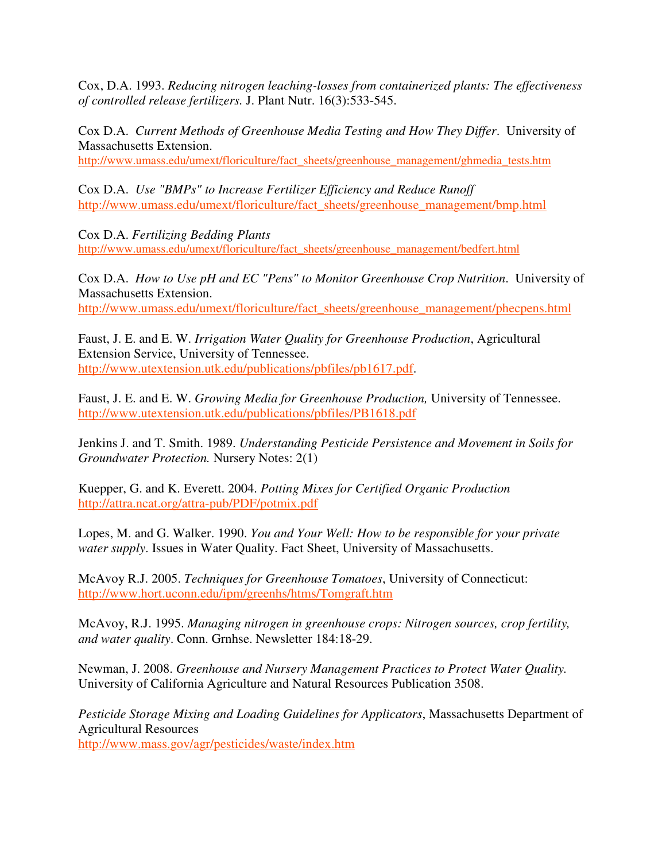Cox, D.A. 1993. *Reducing nitrogen leaching-losses from containerized plants: The effectiveness of controlled release fertilizers.* J. Plant Nutr. 16(3):533-545.

Cox D.A. *Current Methods of Greenhouse Media Testing and How They Differ*. University of Massachusetts Extension.

http://www.umass.edu/umext/floriculture/fact\_sheets/greenhouse\_management/ghmedia\_tests.htm

Cox D.A. *Use "BMPs" to Increase Fertilizer Efficiency and Reduce Runoff* http://www.umass.edu/umext/floriculture/fact\_sheets/greenhouse\_management/bmp.html

Cox D.A. *Fertilizing Bedding Plants* http://www.umass.edu/umext/floriculture/fact\_sheets/greenhouse\_management/bedfert.html

Cox D.A. *How to Use pH and EC "Pens" to Monitor Greenhouse Crop Nutrition*. University of Massachusetts Extension. http://www.umass.edu/umext/floriculture/fact\_sheets/greenhouse\_management/phecpens.html

Faust, J. E. and E. W. *Irrigation Water Quality for Greenhouse Production*, Agricultural Extension Service, University of Tennessee. http://www.utextension.utk.edu/publications/pbfiles/pb1617.pdf.

Faust, J. E. and E. W. *Growing Media for Greenhouse Production,* University of Tennessee. http://www.utextension.utk.edu/publications/pbfiles/PB1618.pdf

Jenkins J. and T. Smith. 1989. *Understanding Pesticide Persistence and Movement in Soils for Groundwater Protection.* Nursery Notes: 2(1)

Kuepper, G. and K. Everett. 2004. *Potting Mixes for Certified Organic Production* http://attra.ncat.org/attra-pub/PDF/potmix.pdf

Lopes, M. and G. Walker. 1990. *You and Your Well: How to be responsible for your private water supply*. Issues in Water Quality. Fact Sheet, University of Massachusetts.

McAvoy R.J. 2005. *Techniques for Greenhouse Tomatoes*, University of Connecticut: http://www.hort.uconn.edu/ipm/greenhs/htms/Tomgraft.htm

McAvoy, R.J. 1995. *Managing nitrogen in greenhouse crops: Nitrogen sources, crop fertility, and water quality*. Conn. Grnhse. Newsletter 184:18-29.

Newman, J. 2008. *Greenhouse and Nursery Management Practices to Protect Water Quality.*  University of California Agriculture and Natural Resources Publication 3508.

*Pesticide Storage Mixing and Loading Guidelines for Applicators*, Massachusetts Department of Agricultural Resources

http://www.mass.gov/agr/pesticides/waste/index.htm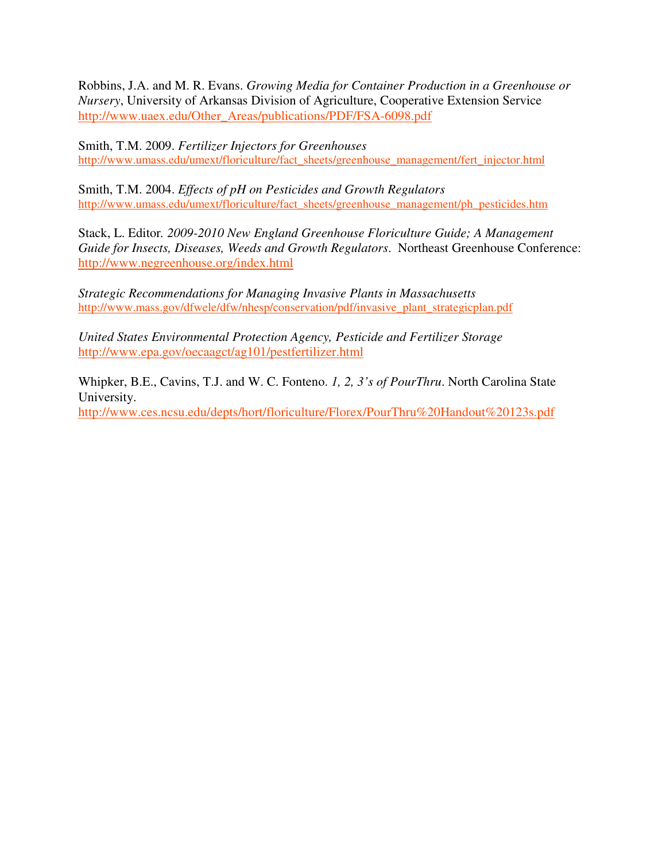Robbins, J.A. and M. R. Evans. *Growing Media for Container Production in a Greenhouse or Nursery*, University of Arkansas Division of Agriculture, Cooperative Extension Service http://www.uaex.edu/Other\_Areas/publications/PDF/FSA-6098.pdf

Smith, T.M. 2009. *Fertilizer Injectors for Greenhouses* http://www.umass.edu/umext/floriculture/fact\_sheets/greenhouse\_management/fert\_injector.html

Smith, T.M. 2004. *Effects of pH on Pesticides and Growth Regulators*  http://www.umass.edu/umext/floriculture/fact\_sheets/greenhouse\_management/ph\_pesticides.htm

Stack, L. Editor*. 2009-2010 New England Greenhouse Floriculture Guide; A Management Guide for Insects, Diseases, Weeds and Growth Regulators*. Northeast Greenhouse Conference: http://www.negreenhouse.org/index.html

*Strategic Recommendations for Managing Invasive Plants in Massachusetts* http://www.mass.gov/dfwele/dfw/nhesp/conservation/pdf/invasive\_plant\_strategicplan.pdf

*United States Environmental Protection Agency, Pesticide and Fertilizer Storage*  http://www.epa.gov/oecaagct/ag101/pestfertilizer.html

Whipker, B.E., Cavins, T.J. and W. C. Fonteno. *1, 2, 3's of PourThru*. North Carolina State University. http://www.ces.ncsu.edu/depts/hort/floriculture/Florex/PourThru%20Handout%20123s.pdf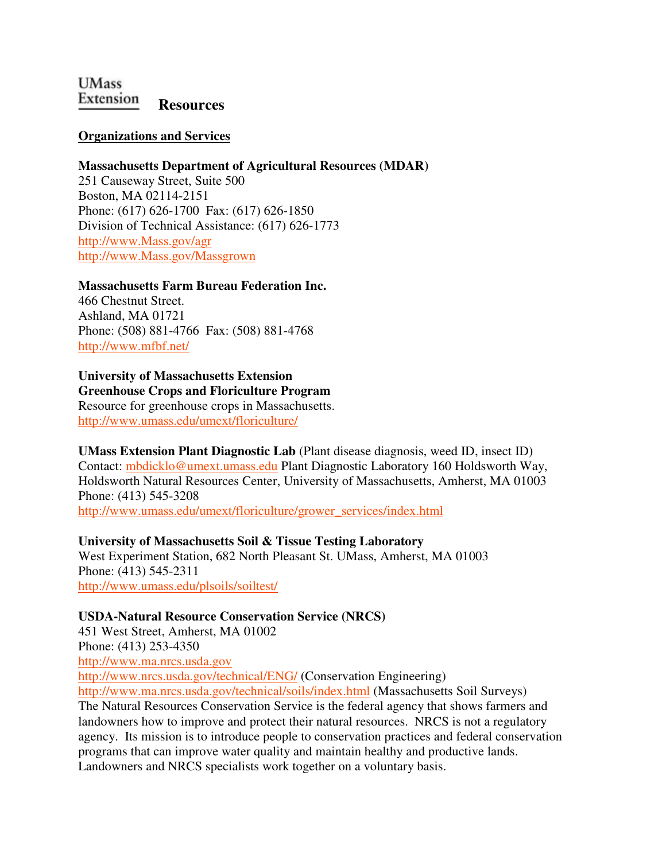**UMass Extension** Resources

#### **Organizations and Services**

#### **Massachusetts Department of Agricultural Resources (MDAR)**

251 Causeway Street, Suite 500 Boston, MA 02114-2151 Phone: (617) 626-1700 Fax: (617) 626-1850 Division of Technical Assistance: (617) 626-1773 http://www.Mass.gov/agr http://www.Mass.gov/Massgrown

#### **Massachusetts Farm Bureau Federation Inc.**

466 Chestnut Street. Ashland, MA 01721 Phone: (508) 881-4766 Fax: (508) 881-4768 http://www.mfbf.net/

#### **University of Massachusetts Extension Greenhouse Crops and Floriculture Program**

Resource for greenhouse crops in Massachusetts. http://www.umass.edu/umext/floriculture/

**UMass Extension Plant Diagnostic Lab** (Plant disease diagnosis, weed ID, insect ID) Contact: mbdicklo@umext.umass.edu Plant Diagnostic Laboratory 160 Holdsworth Way, Holdsworth Natural Resources Center, University of Massachusetts, Amherst, MA 01003 Phone: (413) 545-3208 http://www.umass.edu/umext/floriculture/grower\_services/index.html

# **University of Massachusetts Soil & Tissue Testing Laboratory**

West Experiment Station, 682 North Pleasant St. UMass, Amherst, MA 01003 Phone: (413) 545-2311 http://www.umass.edu/plsoils/soiltest/

#### **USDA-Natural Resource Conservation Service (NRCS)**

451 West Street, Amherst, MA 01002 Phone: (413) 253-4350 http://www.ma.nrcs.usda.gov

http://www.nrcs.usda.gov/technical/ENG/ (Conservation Engineering)

http://www.ma.nrcs.usda.gov/technical/soils/index.html (Massachusetts Soil Surveys) The Natural Resources Conservation Service is the federal agency that shows farmers and landowners how to improve and protect their natural resources. NRCS is not a regulatory agency. Its mission is to introduce people to conservation practices and federal conservation programs that can improve water quality and maintain healthy and productive lands. Landowners and NRCS specialists work together on a voluntary basis.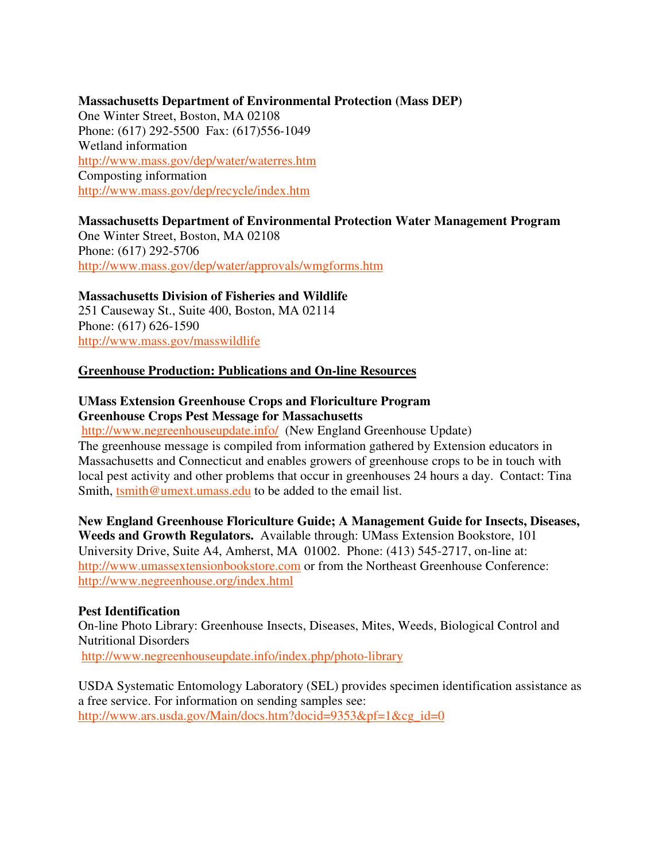#### **Massachusetts Department of Environmental Protection (Mass DEP)**

One Winter Street, Boston, MA 02108 Phone: (617) 292-5500 Fax: (617)556-1049 Wetland information http://www.mass.gov/dep/water/waterres.htm Composting information http://www.mass.gov/dep/recycle/index.htm

## **Massachusetts Department of Environmental Protection Water Management Program**

One Winter Street, Boston, MA 02108 Phone: (617) 292-5706 http://www.mass.gov/dep/water/approvals/wmgforms.htm

**Massachusetts Division of Fisheries and Wildlife**  251 Causeway St., Suite 400, Boston, MA 02114 Phone: (617) 626-1590 http://www.mass.gov/masswildlife

#### **Greenhouse Production: Publications and On-line Resources**

## **UMass Extension Greenhouse Crops and Floriculture Program Greenhouse Crops Pest Message for Massachusetts**

http://www.negreenhouseupdate.info/ (New England Greenhouse Update) The greenhouse message is compiled from information gathered by Extension educators in Massachusetts and Connecticut and enables growers of greenhouse crops to be in touch with local pest activity and other problems that occur in greenhouses 24 hours a day. Contact: Tina Smith, tsmith@umext.umass.edu to be added to the email list.

**New England Greenhouse Floriculture Guide; A Management Guide for Insects, Diseases, Weeds and Growth Regulators.** Available through: UMass Extension Bookstore, 101 University Drive, Suite A4, Amherst, MA 01002. Phone: (413) 545-2717, on-line at: http://www.umassextensionbookstore.com or from the Northeast Greenhouse Conference: http://www.negreenhouse.org/index.html

#### **Pest Identification**

On-line Photo Library: Greenhouse Insects, Diseases, Mites, Weeds, Biological Control and Nutritional Disorders

http://www.negreenhouseupdate.info/index.php/photo-library

USDA Systematic Entomology Laboratory (SEL) provides specimen identification assistance as a free service. For information on sending samples see: http://www.ars.usda.gov/Main/docs.htm?docid=9353&pf=1&cg\_id=0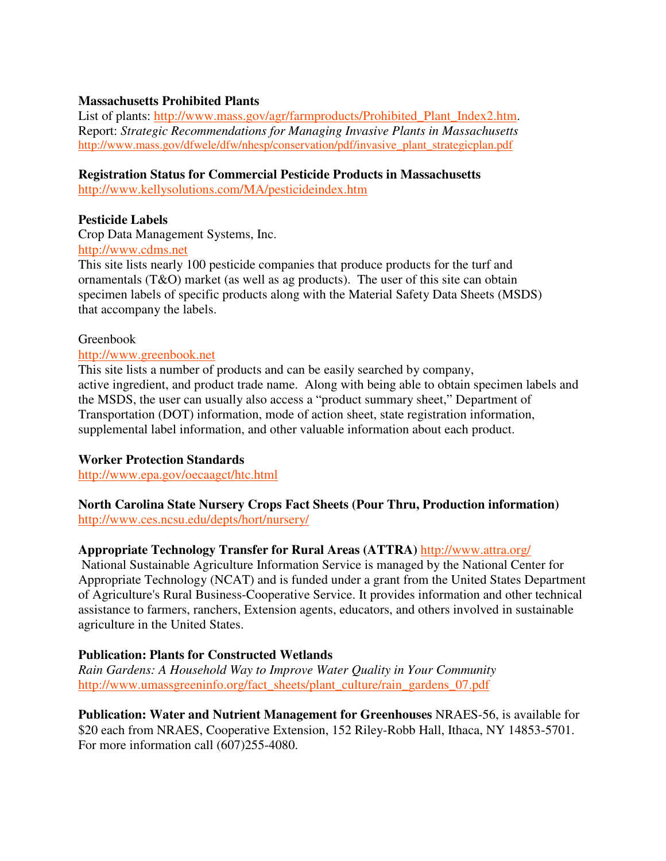#### **Massachusetts Prohibited Plants**

List of plants: http://www.mass.gov/agr/farmproducts/Prohibited Plant Index2.htm. Report: *Strategic Recommendations for Managing Invasive Plants in Massachusetts* http://www.mass.gov/dfwele/dfw/nhesp/conservation/pdf/invasive\_plant\_strategicplan.pdf

#### **Registration Status for Commercial Pesticide Products in Massachusetts**

http://www.kellysolutions.com/MA/pesticideindex.htm

#### **Pesticide Labels**

Crop Data Management Systems, Inc.

#### http://www.cdms.net

This site lists nearly 100 pesticide companies that produce products for the turf and ornamentals (T&O) market (as well as ag products). The user of this site can obtain specimen labels of specific products along with the Material Safety Data Sheets (MSDS) that accompany the labels.

#### Greenbook

#### http://www.greenbook.net

This site lists a number of products and can be easily searched by company, active ingredient, and product trade name. Along with being able to obtain specimen labels and the MSDS, the user can usually also access a "product summary sheet," Department of Transportation (DOT) information, mode of action sheet, state registration information, supplemental label information, and other valuable information about each product.

#### **Worker Protection Standards**

http://www.epa.gov/oecaagct/htc.html

#### **North Carolina State Nursery Crops Fact Sheets (Pour Thru, Production information)**  http://www.ces.ncsu.edu/depts/hort/nursery/

## **Appropriate Technology Transfer for Rural Areas (ATTRA)** http://www.attra.org/

 National Sustainable Agriculture Information Service is managed by the National Center for Appropriate Technology (NCAT) and is funded under a grant from the United States Department of Agriculture's Rural Business-Cooperative Service. It provides information and other technical assistance to farmers, ranchers, Extension agents, educators, and others involved in sustainable agriculture in the United States.

## **Publication: Plants for Constructed Wetlands**

*Rain Gardens: A Household Way to Improve Water Quality in Your Community*  http://www.umassgreeninfo.org/fact\_sheets/plant\_culture/rain\_gardens\_07.pdf

**Publication: Water and Nutrient Management for Greenhouses** NRAES-56, is available for \$20 each from NRAES, Cooperative Extension, 152 Riley-Robb Hall, Ithaca, NY 14853-5701. For more information call (607)255-4080.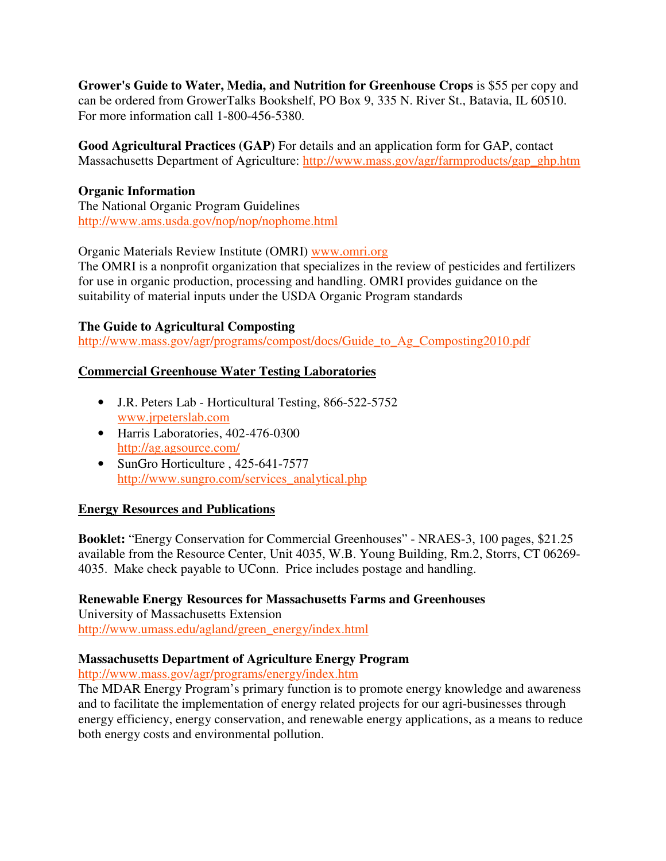**Grower's Guide to Water, Media, and Nutrition for Greenhouse Crops** is \$55 per copy and can be ordered from GrowerTalks Bookshelf, PO Box 9, 335 N. River St., Batavia, IL 60510. For more information call 1-800-456-5380.

**Good Agricultural Practices (GAP)** For details and an application form for GAP, contact Massachusetts Department of Agriculture: http://www.mass.gov/agr/farmproducts/gap\_ghp.htm

## **Organic Information**

The National Organic Program Guidelines http://www.ams.usda.gov/nop/nop/nophome.html

## Organic Materials Review Institute (OMRI) www.omri.org

The OMRI is a nonprofit organization that specializes in the review of pesticides and fertilizers for use in organic production, processing and handling. OMRI provides guidance on the suitability of material inputs under the USDA Organic Program standards

## **The Guide to Agricultural Composting**

http://www.mass.gov/agr/programs/compost/docs/Guide\_to\_Ag\_Composting2010.pdf

## **Commercial Greenhouse Water Testing Laboratories**

- J.R. Peters Lab Horticultural Testing, 866-522-5752 www.jrpeterslab.com
- Harris Laboratories, 402-476-0300 http://ag.agsource.com/
- SunGro Horticulture , 425-641-7577 http://www.sungro.com/services\_analytical.php

## **Energy Resources and Publications**

**Booklet:** "Energy Conservation for Commercial Greenhouses" - NRAES-3, 100 pages, \$21.25 available from the Resource Center, Unit 4035, W.B. Young Building, Rm.2, Storrs, CT 06269- 4035. Make check payable to UConn. Price includes postage and handling.

## **Renewable Energy Resources for Massachusetts Farms and Greenhouses**

University of Massachusetts Extension http://www.umass.edu/agland/green\_energy/index.html

## **Massachusetts Department of Agriculture Energy Program**

http://www.mass.gov/agr/programs/energy/index.htm

The MDAR Energy Program's primary function is to promote energy knowledge and awareness and to facilitate the implementation of energy related projects for our agri-businesses through energy efficiency, energy conservation, and renewable energy applications, as a means to reduce both energy costs and environmental pollution.